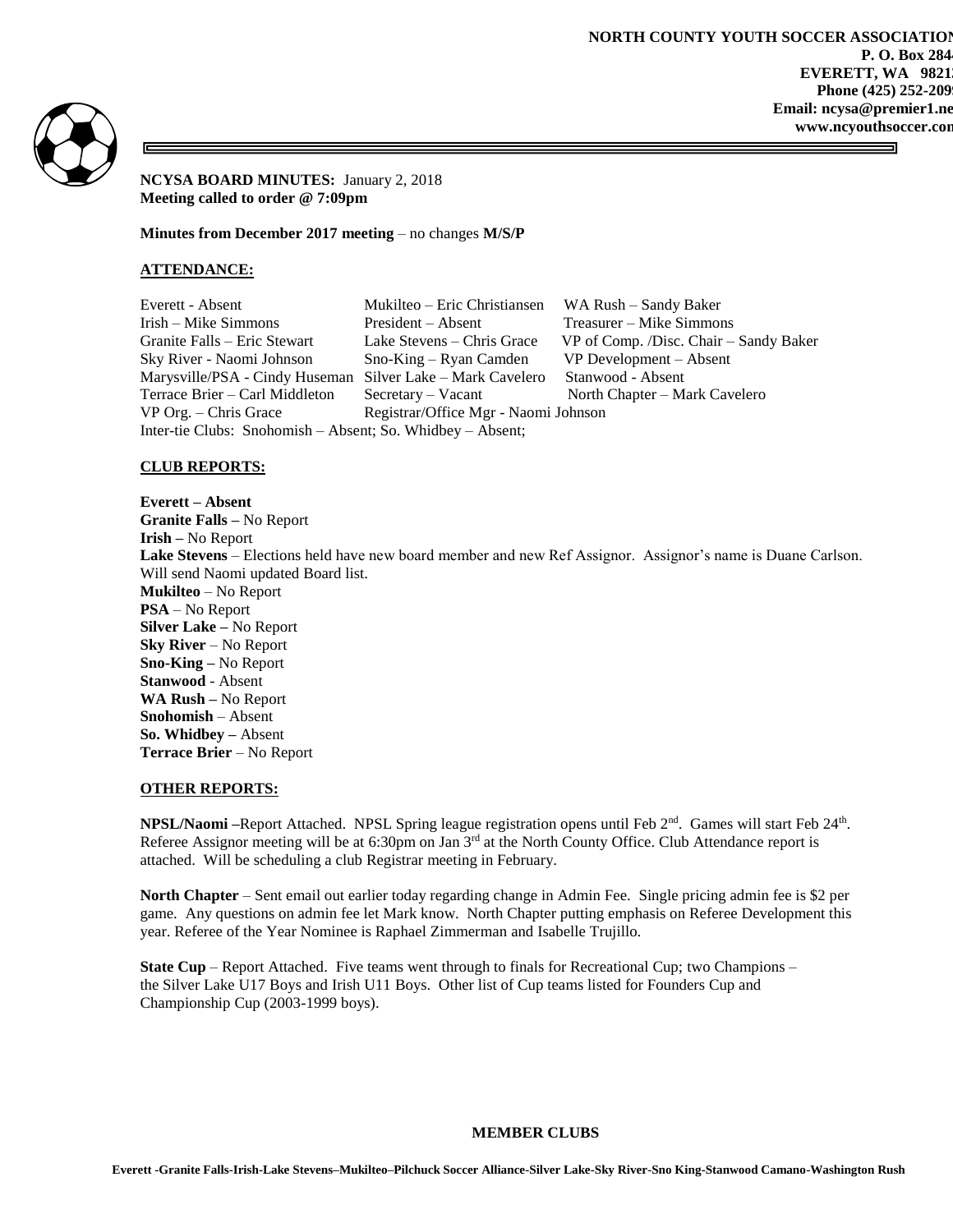

**NCYSA BOARD MINUTES:** January 2, 2018 **Meeting called to order @ 7:09pm**

**Minutes from December 2017 meeting** – no changes **M/S/P**

## **ATTENDANCE:**

Everett - Absent Mukilteo – Eric Christiansen WA Rush – Sandy Baker Irish – Mike Simmons President – Absent Treasurer – Mike Simmons Granite Falls – Eric Stewart Lake Stevens – Chris Grace VP of Comp. /Disc. Chair – Sandy Baker Sky River - Naomi Johnson Sno-King – Ryan Camden VP Development – Absent Marysville/PSA - Cindy Huseman Silver Lake – Mark Cavelero Stanwood - Absent Terrace Brier – Carl Middleton Secretary – Vacant North Chapter – Mark Cavelero VP Org. – Chris Grace Registrar/Office Mgr - Naomi Johnson Inter-tie Clubs: Snohomish – Absent; So. Whidbey – Absent;

# **CLUB REPORTS:**

**Everett – Absent Granite Falls –** No Report **Irish –** No Report **Lake Stevens** – Elections held have new board member and new Ref Assignor. Assignor's name is Duane Carlson. Will send Naomi updated Board list. **Mukilteo** – No Report **PSA** – No Report **Silver Lake –** No Report **Sky River** – No Report **Sno-King –** No Report **Stanwood** - Absent **WA Rush –** No Report **Snohomish** – Absent **So. Whidbey –** Absent **Terrace Brier** – No Report

#### **OTHER REPORTS:**

**NPSL/Naomi** –Report Attached. NPSL Spring league registration opens until Feb 2<sup>nd</sup>. Games will start Feb 24<sup>th</sup>. Referee Assignor meeting will be at 6:30pm on Jan  $3<sup>rd</sup>$  at the North County Office. Club Attendance report is attached. Will be scheduling a club Registrar meeting in February.

**North Chapter** – Sent email out earlier today regarding change in Admin Fee. Single pricing admin fee is \$2 per game. Any questions on admin fee let Mark know. North Chapter putting emphasis on Referee Development this year. Referee of the Year Nominee is Raphael Zimmerman and Isabelle Trujillo.

**State Cup** – Report Attached. Five teams went through to finals for Recreational Cup; two Champions – the Silver Lake U17 Boys and Irish U11 Boys. Other list of Cup teams listed for Founders Cup and Championship Cup (2003-1999 boys).

## **MEMBER CLUBS**